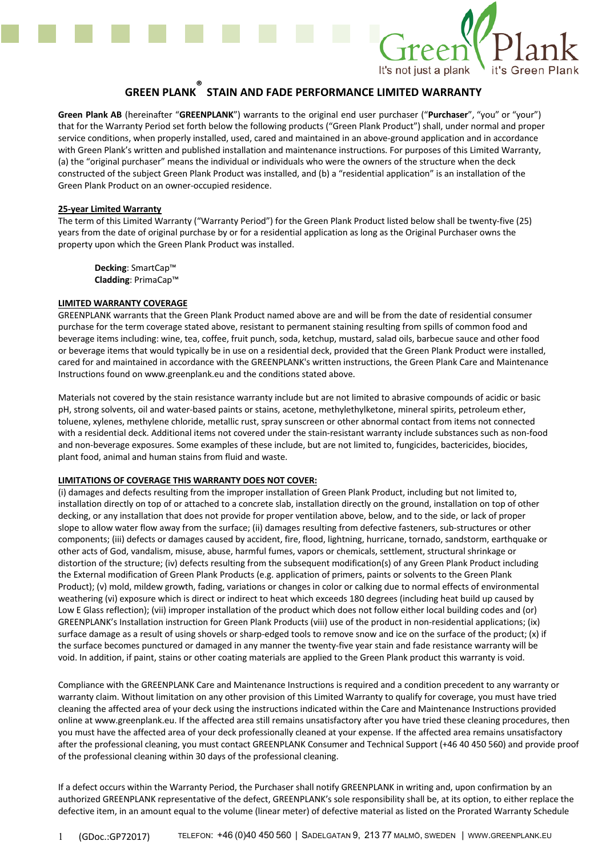

# **GREEN PLANK ® STAIN AND FADE PERFORMANCE LIMITED WARRANTY**

**Green Plank AB** (hereinafter "**GREENPLANK**") warrants to the original end user purchaser ("**Purchaser**", "you" or "your") that for the Warranty Period set forth below the following products ("Green Plank Product") shall, under normal and proper service conditions, when properly installed, used, cared and maintained in an above-ground application and in accordance with Green Plank's written and published installation and maintenance instructions. For purposes of this Limited Warranty, (a) the "original purchaser" means the individual or individuals who were the owners of the structure when the deck constructed of the subject Green Plank Product was installed, and (b) a "residential application" is an installation of the Green Plank Product on an owner-occupied residence.

#### **25-year Limited Warranty**

The term of this Limited Warranty ("Warranty Period") for the Green Plank Product listed below shall be twenty-five (25) years from the date of original purchase by or for a residential application as long as the Original Purchaser owns the property upon which the Green Plank Product was installed.

**Decking**: SmartCap™ **Cladding**: PrimaCap™

### **LIMITED WARRANTY COVERAGE**

GREENPLANK warrants that the Green Plank Product named above are and will be from the date of residential consumer purchase for the term coverage stated above, resistant to permanent staining resulting from spills of common food and beverage items including: wine, tea, coffee, fruit punch, soda, ketchup, mustard, salad oils, barbecue sauce and other food or beverage items that would typically be in use on a residential deck, provided that the Green Plank Product were installed, cared for and maintained in accordance with the GREENPLANK's written instructions, the Green Plank Care and Maintenance Instructions found on www.greenplank.eu and the conditions stated above.

Materials not covered by the stain resistance warranty include but are not limited to abrasive compounds of acidic or basic pH, strong solvents, oil and water-based paints or stains, acetone, methylethylketone, mineral spirits, petroleum ether, toluene, xylenes, methylene chloride, metallic rust, spray sunscreen or other abnormal contact from items not connected with a residential deck. Additional items not covered under the stain-resistant warranty include substances such as non-food and non-beverage exposures. Some examples of these include, but are not limited to, fungicides, bactericides, biocides, plant food, animal and human stains from fluid and waste.

## **LIMITATIONS OF COVERAGE THIS WARRANTY DOES NOT COVER:**

(i) damages and defects resulting from the improper installation of Green Plank Product, including but not limited to, installation directly on top of or attached to a concrete slab, installation directly on the ground, installation on top of other decking, or any installation that does not provide for proper ventilation above, below, and to the side, or lack of proper slope to allow water flow away from the surface; (ii) damages resulting from defective fasteners, sub-structures or other components; (iii) defects or damages caused by accident, fire, flood, lightning, hurricane, tornado, sandstorm, earthquake or other acts of God, vandalism, misuse, abuse, harmful fumes, vapors or chemicals, settlement, structural shrinkage or distortion of the structure; (iv) defects resulting from the subsequent modification(s) of any Green Plank Product including the External modification of Green Plank Products (e.g. application of primers, paints or solvents to the Green Plank Product); (v) mold, mildew growth, fading, variations or changes in color or calking due to normal effects of environmental weathering (vi) exposure which is direct or indirect to heat which exceeds 180 degrees (including heat build up caused by Low E Glass reflection); (vii) improper installation of the product which does not follow either local building codes and (or) GREENPLANK's Installation instruction for Green Plank Products (viii) use of the product in non-residential applications; (ix) surface damage as a result of using shovels or sharp-edged tools to remove snow and ice on the surface of the product; (x) if the surface becomes punctured or damaged in any manner the twenty-five year stain and fade resistance warranty will be void. In addition, if paint, stains or other coating materials are applied to the Green Plank product this warranty is void.

Compliance with the GREENPLANK Care and Maintenance Instructions is required and a condition precedent to any warranty or warranty claim. Without limitation on any other provision of this Limited Warranty to qualify for coverage, you must have tried cleaning the affected area of your deck using the instructions indicated within the Care and Maintenance Instructions provided online at www.greenplank.eu. If the affected area still remains unsatisfactory after you have tried these cleaning procedures, then you must have the affected area of your deck professionally cleaned at your expense. If the affected area remains unsatisfactory after the professional cleaning, you must contact GREENPLANK Consumer and Technical Support (+46 40 450 560) and provide proof of the professional cleaning within 30 days of the professional cleaning.

If a defect occurs within the Warranty Period, the Purchaser shall notify GREENPLANK in writing and, upon confirmation by an authorized GREENPLANK representative of the defect, GREENPLANK's sole responsibility shall be, at its option, to either replace the defective item, in an amount equal to the volume (linear meter) of defective material as listed on the Prorated Warranty Schedule